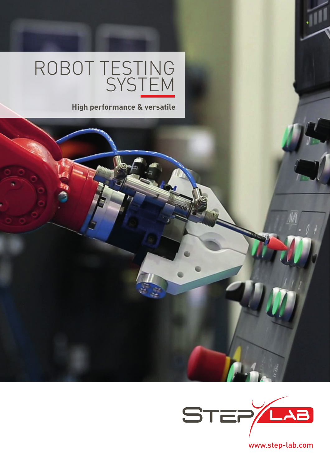# ROBOT TESTING **SYSTEM**

**High performance & versatile**



www.step-lab.com

 $\bar{y}$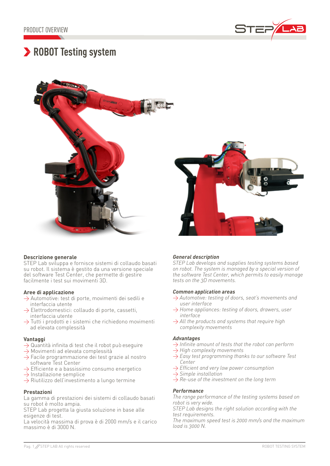

## **ROBOT Testing system**



#### **Descrizione generale**

STEP Lab sviluppa e fornisce sistemi di collaudo basati su robot. Il sistema è gestito da una versione speciale del software Test Center, che permette di gestire facilmente i test sui movimenti 3D.

#### **Aree di applicazione**

- $\rightarrow$  Automotive: test di porte, movimenti dei sedili e interfaccia utente
- $\rightarrow$  Elettrodomestici: collaudo di porte, cassetti, interfaccia utente
- $\rightarrow$  Tutti i prodotti e i sistemi che richiedono movimenti ad elevata complessità

#### **Vantaggi**

- $\rightarrow$  Quantità infinita di test che il robot può eseguire
- $\rightarrow$  Movimenti ad elevata complessità
- $\rightarrow$  Facile programmazione dei test grazie al nostro software Test Center
- $\rightarrow$  Efficiente e a bassissimo consumo energetico
- $\rightarrow$  Installazione semplice
- $\rightarrow$  Riutilizzo dell'investimento a lungo termine

#### **Prestazioni**

La gamma di prestazioni dei sistemi di collaudo basati su robot è molto ampia.

STEP Lab progetta la giusta soluzione in base alle esigenze di test.

La velocità massima di prova è di 2000 mm/s e il carico massimo è di 3000 N.

#### *General description*

*STEP Lab develops and supplies testing systems based on robot. The system is managed by a special version of the software Test Center, which permits to easily manage tests on the 3D movements.*

#### *Common application areas*

- > *Automotive: testing of doors, seat's movements and user interface*
- > *Home appliances: testing of doors, drawers, user interface*
- > *All the products and systems that require high complexity movements*

#### *Advantages*

- > *Infinite amount of tests that the robot can perform*
- > *High complexity movements*
- > *Easy test programming thanks to our software Test Center*
- > *Efficient and very low power consumption*
- > *Simple installation*
- > *Re-use of the investment on the long term*

#### *Performance*

*The range performance of the testing systems based on robot is very wide.* 

*STEP Lab designs the right solution according with the test requirements.* 

*The maximum speed test is 2000 mm/s and the maximum load is 3000 N.*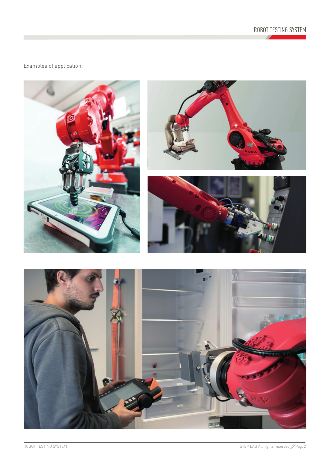

### Examples of application:

п